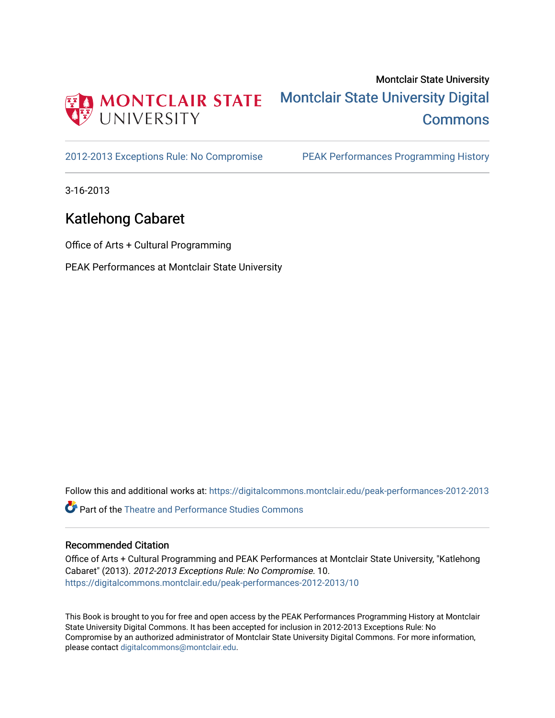

[2012-2013 Exceptions Rule: No Compromise](https://digitalcommons.montclair.edu/peak-performances-2012-2013) [PEAK Performances Programming History](https://digitalcommons.montclair.edu/peak-performances-programming-history) 

3-16-2013

## Katlehong Cabaret

Office of Arts + Cultural Programming

PEAK Performances at Montclair State University

Follow this and additional works at: [https://digitalcommons.montclair.edu/peak-performances-2012-2013](https://digitalcommons.montclair.edu/peak-performances-2012-2013?utm_source=digitalcommons.montclair.edu%2Fpeak-performances-2012-2013%2F10&utm_medium=PDF&utm_campaign=PDFCoverPages) 

Part of the [Theatre and Performance Studies Commons](http://network.bepress.com/hgg/discipline/552?utm_source=digitalcommons.montclair.edu%2Fpeak-performances-2012-2013%2F10&utm_medium=PDF&utm_campaign=PDFCoverPages) 

## Recommended Citation

Office of Arts + Cultural Programming and PEAK Performances at Montclair State University, "Katlehong Cabaret" (2013). 2012-2013 Exceptions Rule: No Compromise. 10. [https://digitalcommons.montclair.edu/peak-performances-2012-2013/10](https://digitalcommons.montclair.edu/peak-performances-2012-2013/10?utm_source=digitalcommons.montclair.edu%2Fpeak-performances-2012-2013%2F10&utm_medium=PDF&utm_campaign=PDFCoverPages)

This Book is brought to you for free and open access by the PEAK Performances Programming History at Montclair State University Digital Commons. It has been accepted for inclusion in 2012-2013 Exceptions Rule: No Compromise by an authorized administrator of Montclair State University Digital Commons. For more information, please contact [digitalcommons@montclair.edu.](mailto:digitalcommons@montclair.edu)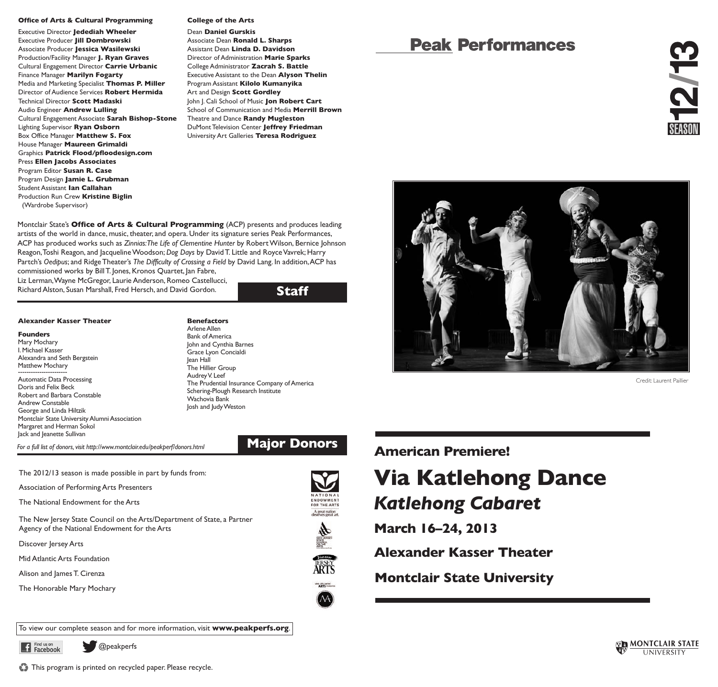#### **Office of Arts & Cultural Programming**

Executive Director **Jedediah Wheeler** Executive Producer **Jill Dombrowski** Associate Producer **Jessica Wasilewski** Production/Facility Manager **J. Ryan Graves** Cultural Engagement Director **Carrie Urbanic** Finance Manager **Marilyn Fogarty** Media and Marketing Specialist **Thomas P. Miller** Director of Audience Services **Robert Hermida** Technical Director **Scott Madaski** Audio Engineer **Andrew Lulling** Cultural Engagement Associate **Sarah Bishop-Stone** Lighting Supervisor **Ryan Osborn** Box Office Manager **Matthew S. Fox** House Manager **Maureen Grimaldi** Graphics **Patrick Flood/pfloodesign.com** Press **Ellen Jacobs Associates** Program Editor **Susan R. Case** Program Design **Jamie L. Grubman** Student Assistant **Ian Callahan** Production Run Crew **Kristine Biglin** (Wardrobe Supervisor)

#### **College of the Arts**

Dean **Daniel Gurskis** Associate Dean **Ronald L. Sharps** Assistant Dean **Linda D. Davidson** Director of Administration **Marie Sparks** College Administrator **Zacrah S. Battle** Executive Assistant to the Dean **Alyson Thelin** Program Assistant **Kilolo Kumanyika** Art and Design **Scott Gordley** John J. Cali School of Music **Jon Robert Cart** School of Communication and Media **Merrill Brown** Theatre and Dance **Randy Mugleston** DuMont Television Center **Jeffrey Friedman** University Art Galleries **Teresa Rodriguez**

Montclair State's **Office of Arts & Cultural Programming** (ACP) presents and produces leading artists of the world in dance, music, theater, and opera. Under its signature series Peak Performances, ACP has produced works such as *Zinnias:The Life of Clementine Hunter* by RobertWilson, Bernice Johnson Reagon,Toshi Reagon, and JacquelineWoodson; *Dog Days* by DavidT. Little and RoyceVavrek; Harry Partch's *Oedipus*; and RidgeTheater's *The Difficulty of Crossing a Field* by David Lang. In addition,ACP has commissioned works by BillT. Jones, Kronos Quartet, Jan Fabre,

Liz Lerman,Wayne McGregor, Laurie Anderson, Romeo Castellucci, Richard Alston, Susan Marshall, Fred Hersch, and David Gordon.

## **Staff**

#### **Alexander Kasser Theater**

**Founders** Mary Mochary I.Michael Kasser Alexandra and Seth Bergstein Matthew Mochary

Automatic Data Processing Doris and Felix Beck Robert and Barbara Constable Andrew Constable George and Linda Hiltzik Montclair State University Alumni Association Margaret and Herman Sokol Jack and Jeanette Sullivan

**Benefactors** Arlene Allen **Bank of America** John and Cynthia Barnes Grace Lyon Concialdi Jean Hall The Hillier Group Audrey V. Leef The Prudential Insurance Company of America Schering-Plough Research Institute Wachovia Bank Josh and JudyWeston

*For <sup>a</sup> full list of donors,visit http://www.montclair.edu/peakperf/donors.html* **Major Donors American Premiere!**

The 2012/13 season is made possible in part by funds from:

Association of Performing Arts Presenters

The National Endowment for the Arts

The New Jersey State Council on the Arts/Department of State, a Partner Agency of the National Endowment for the Arts

Discover Jersey Arts

Mid Atlantic Arts Foundation

Alison and James T. Cirenza

The Honorable Mary Mochary









NDOWMEN<sup>.</sup><br>OR THE ART! A great nation<br>deserves erext art



# **Peak Performances**



Credit: Laurent Paillier

# **Via Katlehong Dance** *Katlehong Cabaret*

**March 16–24, 2013**

**Alexander Kasser Theater**

**Montclair State University**